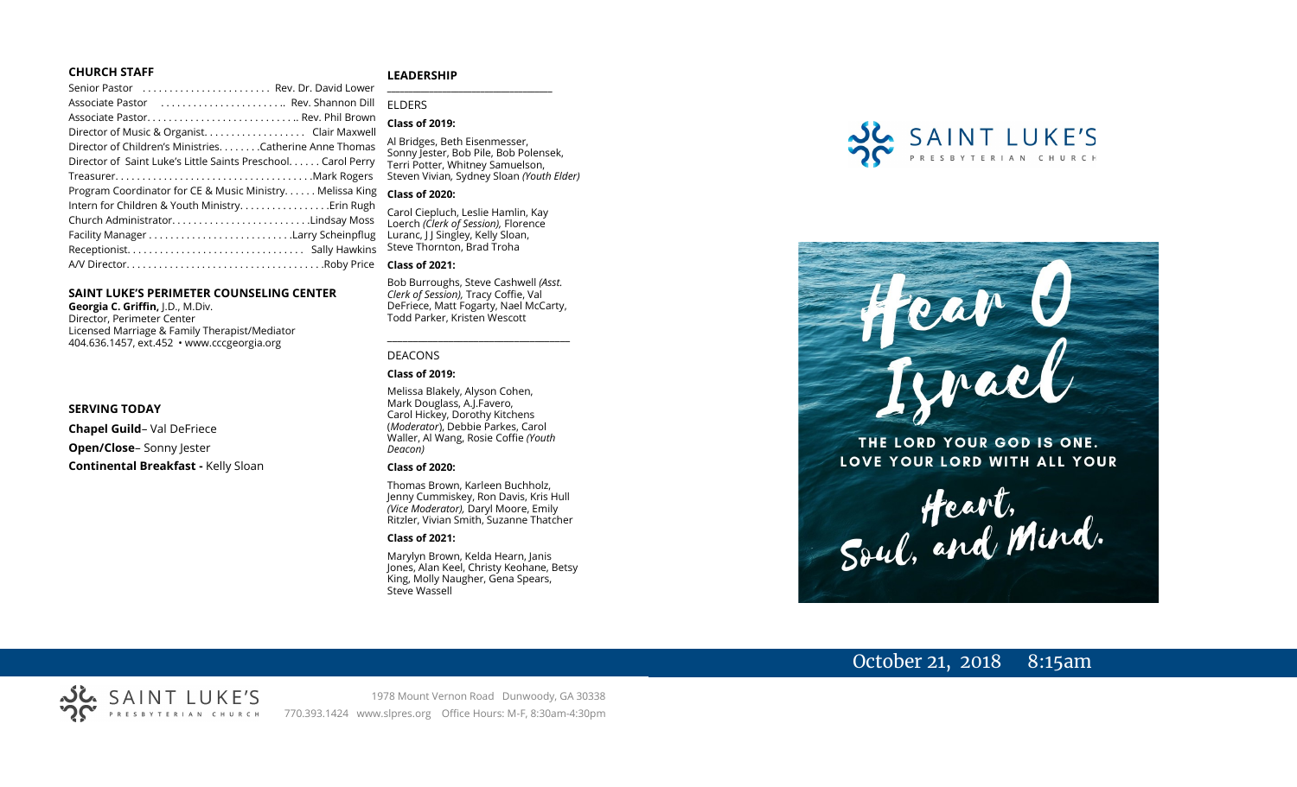#### **CHURCH STAFF**

#### **LEADERSHIP**

Senior Pastor . . . . . . . . . . . . . . . . . . . . . . . . Rev. Dr. David Lower Associate Pastor . . . . . . . . . . . . . . . . . . . . . . .. Rev. Shannon Dill Associate Pastor. . . . . . . . . . . . . . . . . . . . . . . . . . . .. Rev. Phil Brown Director of Music & Organist. . . . . . . . . . . . . . . . . . . Clair Maxwell Director of Children's Ministries. . . . . . . .Catherine Anne Thomas Director of Saint Luke's Little Saints Preschool. . . . . . Carol Perry Treasurer. . . . . . . . . . . . . . . . . . . . . . . . . . . . . . . . . . . . .Mark Rogers Program Coordinator for CE & Music Ministry. . . . . . Melissa King Intern for Children & Youth Ministry...............Erin Rugh Church Administrator. . . . . . . . . . . . . . . . . . . . . . . . . .Lindsay Moss Facility Manager . . . . . . . . . . . . . . . . . . . . . . . . . . .Larry Scheinpflug Receptionist. . . . . . . . . . . . . . . . . . . . . . . . . . . . . . . . . Sally Hawkins A/V Director. . . . . . . . . . . . . . . . . . . . . . . . . . . . . . . . . . . . .Roby Price **Class of 2021:**

#### **SAINT LUKE'S PERIMETER COUNSELING CENTER**

**Georgia C. Griffin,** J.D., M.Div. Director, Perimeter Center Licensed Marriage & Family Therapist/Mediator 404.636.1457, ext.452 • www.cccgeorgia.org

#### **SERVING TODAY**

**Chapel Guild**– Val DeFriece

**Open/Close**– Sonny Jester

**Continental Breakfast -** Kelly Sloan

#### **\_\_\_\_\_\_\_\_\_\_\_\_\_\_\_\_\_\_\_\_\_\_\_\_\_\_\_\_\_\_\_\_\_\_\_\_\_\_\_** ELDERS

**Class of 2019:**

Al Bridges, Beth Eisenmesser, Sonny Jester, Bob Pile, Bob Polensek, Terri Potter, Whitney Samuelson, Steven Vivian*,* Sydney Sloan *(Youth Elder)*

#### **Class of 2020:**

Carol Ciepluch, Leslie Hamlin, Kay Loerch *(Clerk of Session),* Florence Luranc, J J Singley, Kelly Sloan, Steve Thornton, Brad Troha

Bob Burroughs, Steve Cashwell *(Asst. Clerk of Session),* Tracy Coffie, Val DeFriece, Matt Fogarty, Nael McCarty, Todd Parker, Kristen Wescott

\_\_\_\_\_\_\_\_\_\_\_\_\_\_\_\_\_\_\_\_\_\_\_\_\_\_\_\_\_\_\_\_\_\_\_\_

#### DEACONS

#### **Class of 2019:**

Melissa Blakely, Alyson Cohen, Mark Douglass, A.J.Favero, Carol Hickey, Dorothy Kitchens (*Moderator*), Debbie Parkes, Carol Waller, Al Wang, Rosie Coffie *(Youth Deacon)* 

#### **Class of 2020:**

Thomas Brown, Karleen Buchholz, Jenny Cummiskey, Ron Davis, Kris Hull *(Vice Moderator),* Daryl Moore, Emily Ritzler, Vivian Smith, Suzanne Thatcher

#### **Class of 2021:**

Marylyn Brown, Kelda Hearn, Janis Jones, Alan Keel, Christy Keohane, Betsy King, Molly Naugher, Gena Spears, Steve Wassell





THE LORD YOUR GOD IS ONE. LOVE YOUR LORD WITH ALL YOUR

Heart,<br>Soul, and Mind.

# October 21, 2018 8:15am

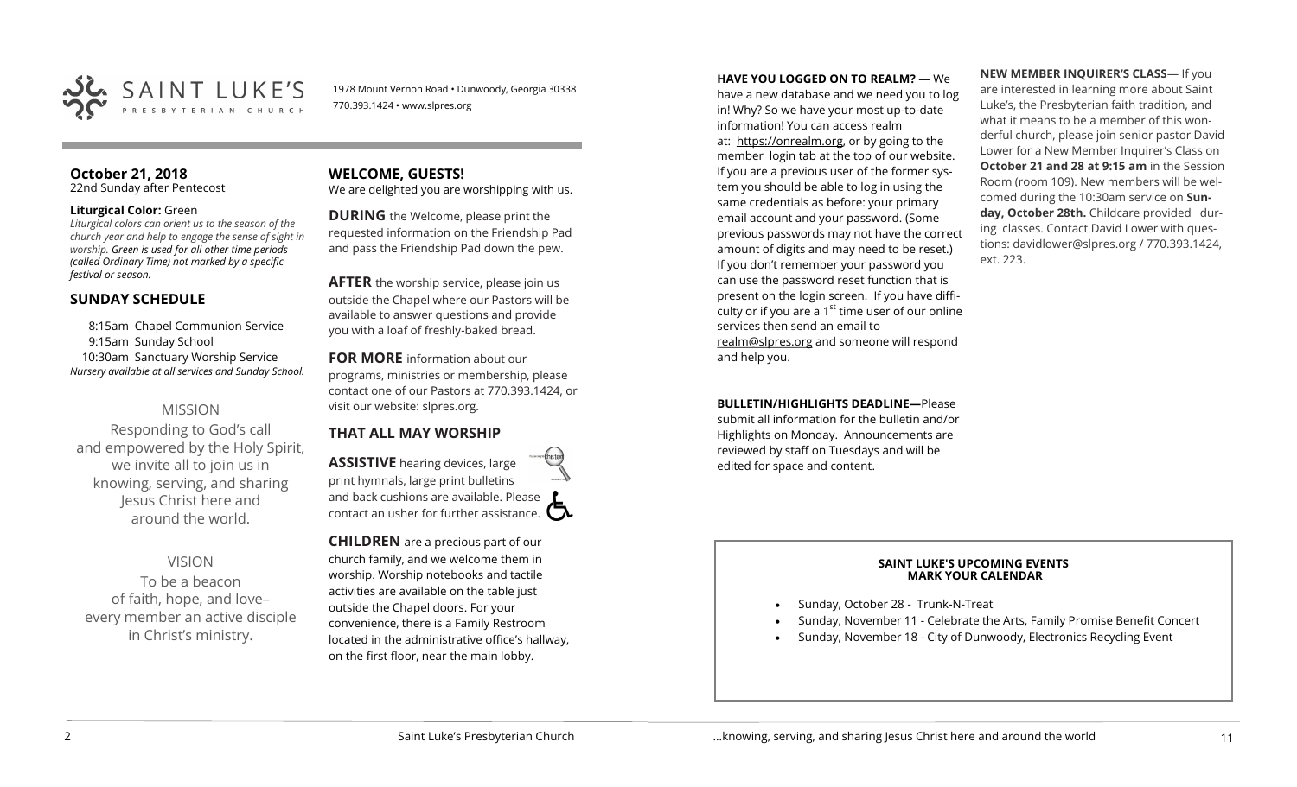

1978 Mount Vernon Road • Dunwoody, Georgia 30338 770.393.1424 • www.slpres.org

# **October 21, 2018**

22nd Sunday after Pentecost

#### **Liturgical Color:** Green

*Liturgical colors can orient us to the season of the church year and help to engage the sense of sight in worship. Green is used for all other time periods (called Ordinary Time) not marked by a specific festival or season.*

# **SUNDAY SCHEDULE**

8:15am Chapel Communion Service 9:15am Sunday School 10:30am Sanctuary Worship Service *Nursery available at all services and Sunday School.* 

# MISSION

Responding to God's call and empowered by the Holy Spirit, we invite all to join us in knowing, serving, and sharing Jesus Christ here and around the world.

# VISION

To be a beacon of faith, hope, and love– every member an active disciple in Christ's ministry.

**WELCOME, GUESTS!**  We are delighted you are worshipping with us.

**DURING** the Welcome, please print the requested information on the Friendship Pad and pass the Friendship Pad down the pew.

**AFTER** the worship service, please join us outside the Chapel where our Pastors will be available to answer questions and provide you with a loaf of freshly-baked bread.

**FOR MORE** information about our programs, ministries or membership, please contact one of our Pastors at 770.393.1424, or visit our website: slpres.org.

# **THAT ALL MAY WORSHIP**

**ASSISTIVE** hearing devices, large print hymnals, large print bulletins and back cushions are available. Please contact an usher for further assistance.  $\square$ 

**CHILDREN** are a precious part of our church family, and we welcome them in worship. Worship notebooks and tactile activities are available on the table just outside the Chapel doors. For your convenience, there is a Family Restroom located in the administrative office's hallway, on the first floor, near the main lobby.

**HAVE YOU LOGGED ON TO REALM?** — We

have a new database and we need you to log in! Why? So we have your most up-to-date information! You can access realm at: [https://onrealm.org,](https://onrealm.org) or by going to the member login tab at the top of our website. If you are a previous user of the former system you should be able to log in using the same credentials as before: your primary email account and your password. (Some previous passwords may not have the correct amount of digits and may need to be reset.) If you don't remember your password you can use the password reset function that is present on the login screen. If you have difficulty or if you are a  $1<sup>st</sup>$  time user of our online services then send an email to [realm@slpres.org](mailto:realm@slpres.org) and someone will respond and help you.

**BULLETIN/HIGHLIGHTS DEADLINE—Please** 

submit all information for the bulletin and/or Highlights on Monday. Announcements are reviewed by staff on Tuesdays and will be edited for space and content.

**NEW MEMBER INQUIRER'S CLASS**— If you are interested in learning more about Saint Luke's, the Presbyterian faith tradition, and what it means to be a member of this wonderful church, please join senior pastor David Lower for a New Member Inquirer's Class on **October 21 and 28 at 9:15 am** in the Session Room (room 109). New members will be welcomed during the 10:30am service on **Sunday, October 28th.** Childcare provided during classes. Contact David Lower with questions: davidlower@slpres.org / 770.393.1424, ext. 223.

#### **SAINT LUKE'S UPCOMING EVENTS MARK YOUR CALENDAR**

- Sunday, October 28 Trunk-N-Treat
- Sunday, November 11 Celebrate the Arts, Family Promise Benefit Concert
- Sunday, November 18 City of Dunwoody, Electronics Recycling Event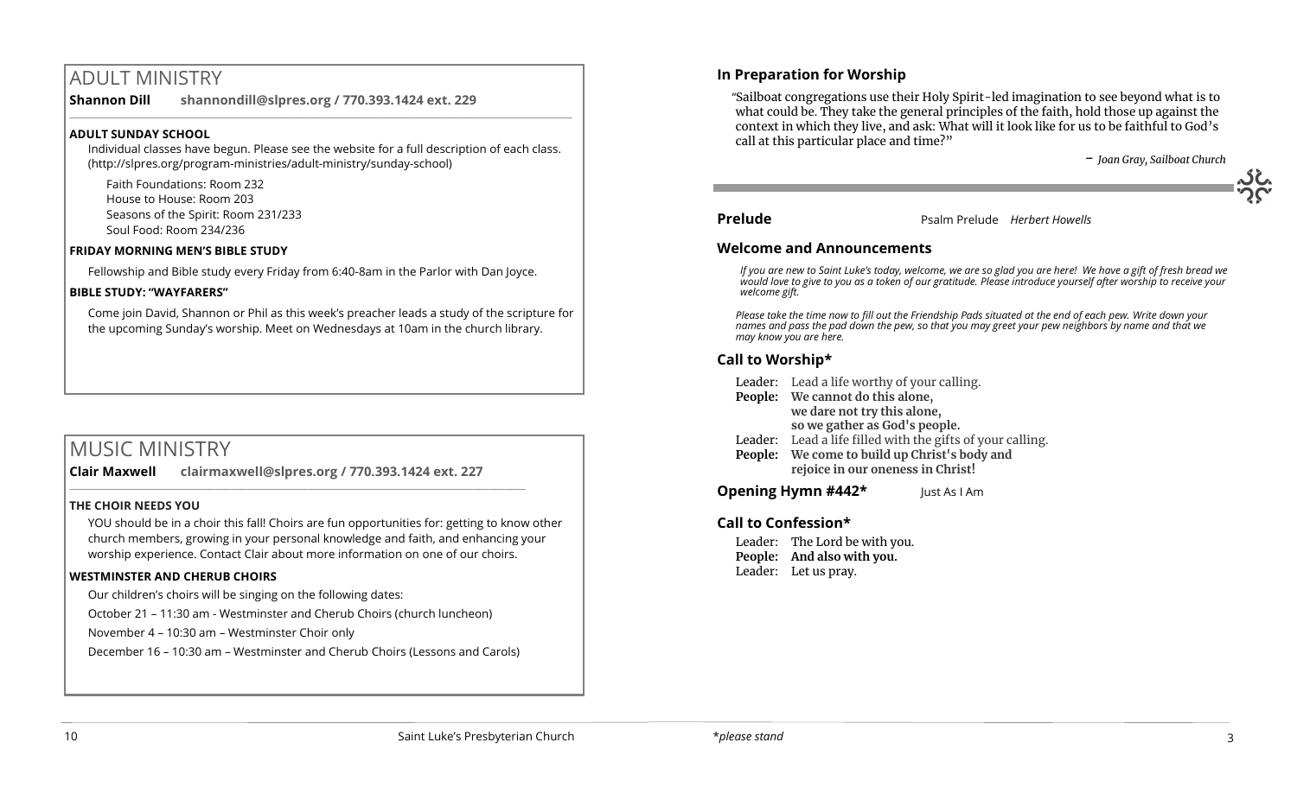# ADULT MINISTRY

**Shannon Dill shannondill@slpres.org / 770.393.1424 ext. 229**   $\_$  ,  $\_$  ,  $\_$  ,  $\_$  ,  $\_$  ,  $\_$  ,  $\_$  ,  $\_$  ,  $\_$  ,  $\_$  ,  $\_$  ,  $\_$  ,  $\_$  ,  $\_$  ,  $\_$  ,  $\_$  ,  $\_$  ,  $\_$  ,  $\_$ 

# **ADULT SUNDAY SCHOOL**

Individual classes have begun. Please see the website for a full description of each class. (http://slpres.org/program-ministries/adult-ministry/sunday-school)

Faith Foundations: Room 232 House to House: Room 203 Seasons of the Spirit: Room 231/233 Soul Food: Room 234/236

## **FRIDAY MORNING MEN'S BIBLE STUDY**

Fellowship and Bible study every Friday from 6:40-8am in the Parlor with Dan Joyce.

## **BIBLE STUDY: "WAYFARERS"**

Come join David, Shannon or Phil as this week's preacher leads a study of the scripture for the upcoming Sunday's worship. Meet on Wednesdays at 10am in the church library.

# MUSIC MINISTRY

**Clair Maxwell clairmaxwell@slpres.org / 770.393.1424 ext. 227**  \_\_\_\_\_\_\_\_\_\_\_\_\_\_\_\_\_\_\_\_\_\_\_\_\_\_\_\_\_\_\_\_\_\_\_\_\_\_\_\_\_\_\_\_\_\_\_\_\_\_\_\_\_\_\_\_\_\_\_\_\_\_\_\_\_\_\_\_\_\_\_\_\_\_\_\_\_\_\_\_\_\_\_\_\_\_\_\_

### **THE CHOIR NEEDS YOU**

YOU should be in a choir this fall! Choirs are fun opportunities for: getting to know other church members, growing in your personal knowledge and faith, and enhancing your worship experience. Contact Clair about more information on one of our choirs.

# **WESTMINSTER AND CHERUB CHOIRS**

Our children's choirs will be singing on the following dates:

October 21 – 11:30 am - Westminster and Cherub Choirs (church luncheon)

November 4 – 10:30 am – Westminster Choir only

December 16 – 10:30 am – Westminster and Cherub Choirs (Lessons and Carols)

# **In Preparation for Worship**

 "Sailboat congregations use their Holy Spirit-led imagination to see beyond what is to what could be. They take the general principles of the faith, hold those up against the context in which they live, and ask: What will it look like for us to be faithful to God's call at this particular place and time?"

- *Joan Gray, Sailboat Church*

**Prelude** Prelude *Herbert Howells* 

# **Welcome and Announcements**

*If you are new to Saint Luke's today, welcome, we are so glad you are here! We have a gift of fresh bread we would love to give to you as a token of our gratitude. Please introduce yourself after worship to receive your welcome gift.*

*Please take the time now to fill out the Friendship Pads situated at the end of each pew. Write down your names and pass the pad down the pew, so that you may greet your pew neighbors by name and that we may know you are here.*

# **Call to Worship\***

Leader: Lead a life worthy of your calling.

- **People: We cannot do this alone, we dare not try this alone, so we gather as God's people.**
- Leader: Lead a life filled with the gifts of your calling.
- **People: We come to build up Christ's body and rejoice in our oneness in Christ!**

**Opening Hymn #442\*** Just As I Am

# **Call to Confession\***

Leader: The Lord be with you. **People: And also with you.**  Leader: Let us pray.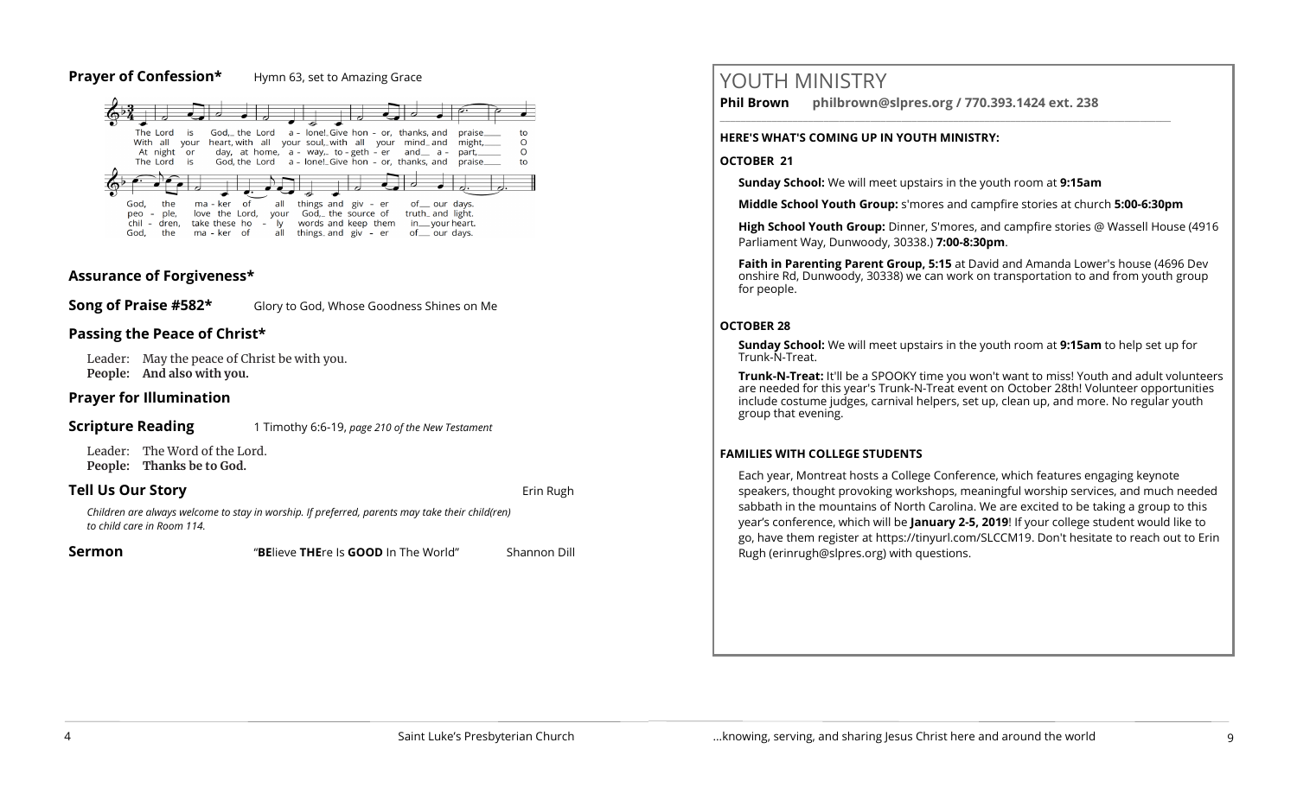### **Prayer of Confession\*** Hymn 63, set to Amazing Grace



# **Assurance of Forgiveness\***

**Song of Praise #582\*** Glory to God, Whose Goodness Shines on Me

# **Passing the Peace of Christ\***

Leader: May the peace of Christ be with you. **People: And also with you.** 

# **Prayer for Illumination**

#### **Scripture Reading** 1 Timothy 6:6-19, *page 210 of the New Testament*

Leader: The Word of the Lord. **People: Thanks be to God.** 

# **Tell Us Our Story and Story and Story and Story and Story and Story and Story and Story and Story and Story and Story and Story and Story and Story and Story and Story and Story and Story and Story and Story and Story and**

*Children are always welcome to stay in worship. If preferred, parents may take their child(ren) to child care in Room 114.*

**Sermon** "**BE**lieve **THE**re Is **GOOD** In The World" Shannon Dill

# YOUTH MINISTRY

**Phil Brown philbrown@slpres.org / 770.393.1424 ext. 238** 

### **HERE'S WHAT'S COMING UP IN YOUTH MINISTRY:**

### **OCTOBER 21**

**Sunday School:** We will meet upstairs in the youth room at **9:15am**

**Middle School Youth Group:** s'mores and campfire stories at church **5:00-6:30pm**

\_\_\_\_\_\_\_\_\_\_\_\_\_\_\_\_\_\_\_\_\_\_\_\_\_\_\_\_\_\_\_\_\_\_\_\_\_\_\_\_\_\_\_\_\_\_\_\_\_\_\_\_\_\_\_\_\_\_\_\_\_\_\_\_\_\_\_\_\_\_\_\_\_\_\_\_\_\_\_\_\_\_\_\_\_\_\_

**High School Youth Group:** Dinner, S'mores, and campfire stories @ Wassell House (4916 Parliament Way, Dunwoody, 30338.) **7:00-8:30pm**.

**Faith in Parenting Parent Group, 5:15** at David and Amanda Lower's house (4696 Dev onshire Rd, Dunwoody, 30338) we can work on transportation to and from youth group for people.

# **OCTOBER 28**

**Sunday School:** We will meet upstairs in the youth room at **9:15am** to help set up for Trunk-N-Treat.

**Trunk-N-Treat:** It'll be a SPOOKY time you won't want to miss! Youth and adult volunteers are needed for this year's Trunk-N-Treat event on October 28th! Volunteer opportunities include costume judges, carnival helpers, set up, clean up, and more. No regular youth group that evening.

# **FAMILIES WITH COLLEGE STUDENTS**

Each year, Montreat hosts a College Conference, which features engaging keynote speakers, thought provoking workshops, meaningful worship services, and much needed sabbath in the mountains of North Carolina. We are excited to be taking a group to this year's conference, which will be **January 2-5, 2019**! If your college student would like to go, have them register at [https://tinyurl.com/SLCCM19.](https://tinyurl.com/SLCCM19) Don't hesitate to reach out to Erin Rugh (erinrugh@slpres.org) with questions.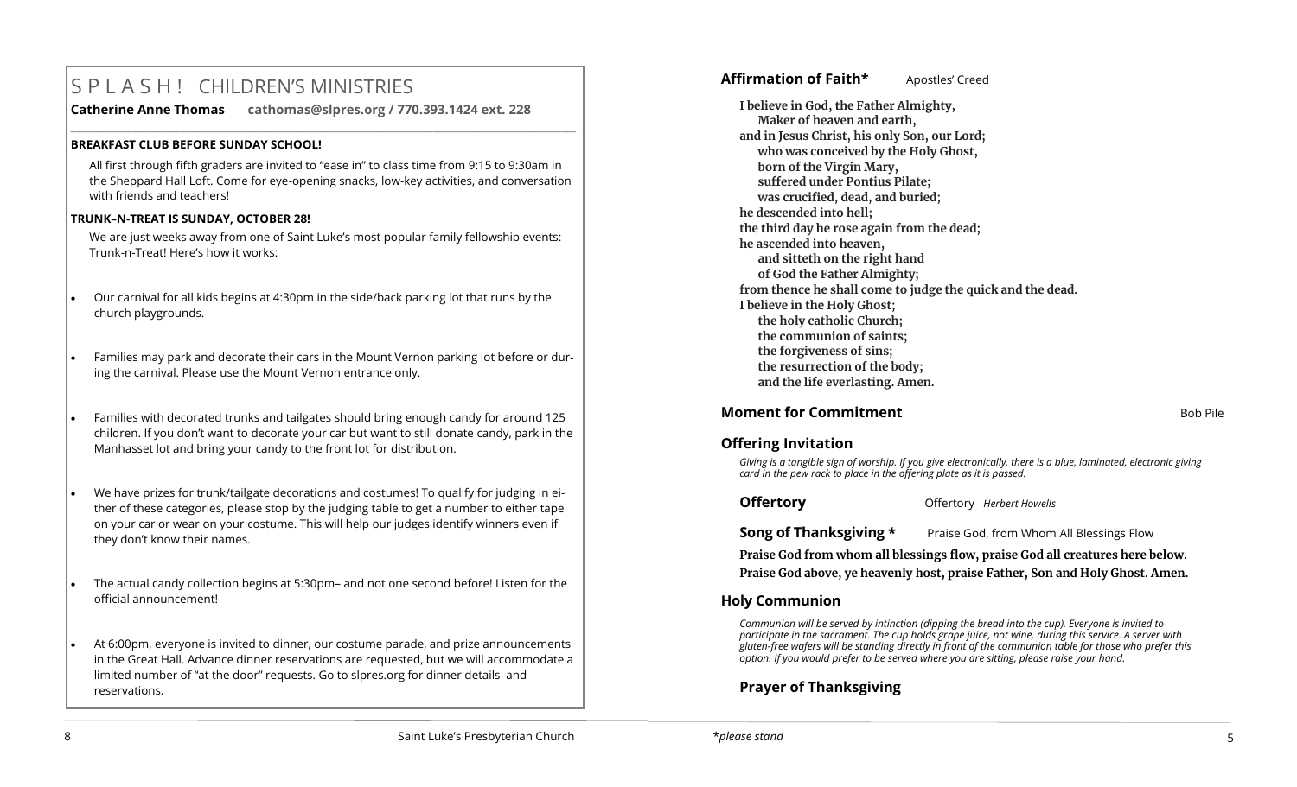# S P L A S H ! CHILDREN'S MINISTRIES

**Catherine Anne Thomas cathomas@slpres.org / 770.393.1424 ext. 228** 

#### **BREAKFAST CLUB BEFORE SUNDAY SCHOOL!**

All first through fifth graders are invited to "ease in" to class time from 9:15 to 9:30am in the Sheppard Hall Loft. Come for eye-opening snacks, low-key activities, and conversation with friends and teachers!

**\_\_\_\_\_\_\_\_\_\_\_\_\_\_\_\_\_\_\_\_\_\_\_\_\_\_\_\_\_\_\_\_\_\_\_\_\_\_\_\_\_\_\_\_\_\_\_\_\_\_\_\_\_\_\_\_\_\_\_\_\_\_\_\_\_\_\_\_\_\_\_\_\_\_\_\_\_\_\_\_\_\_\_\_\_\_\_\_\_\_\_\_\_\_\_\_\_\_\_\_\_\_\_\_\_\_** 

#### **TRUNK–N-TREAT IS SUNDAY, OCTOBER 28!**

We are just weeks away from one of Saint Luke's most popular family fellowship events: Trunk-n-Treat! Here's how it works:

- Our carnival for all kids begins at 4:30pm in the side/back parking lot that runs by the church playgrounds.
- Families may park and decorate their cars in the Mount Vernon parking lot before or during the carnival. Please use the Mount Vernon entrance only.
- Families with decorated trunks and tailgates should bring enough candy for around 125 children. If you don't want to decorate your car but want to still donate candy, park in the Manhasset lot and bring your candy to the front lot for distribution.
- We have prizes for trunk/tailgate decorations and costumes! To qualify for judging in either of these categories, please stop by the judging table to get a number to either tape on your car or wear on your costume. This will help our judges identify winners even if they don't know their names.
- The actual candy collection begins at 5:30pm– and not one second before! Listen for the official announcement!
- At 6:00pm, everyone is invited to dinner, our costume parade, and prize announcements in the Great Hall. Advance dinner reservations are requested, but we will accommodate a limited number of "at the door" requests. Go to slpres.org for dinner details and reservations.

# **Affirmation of Faith\*** Apostles' Creed

**I believe in God, the Father Almighty, Maker of heaven and earth, and in Jesus Christ, his only Son, our Lord; who was conceived by the Holy Ghost, born of the Virgin Mary, suffered under Pontius Pilate; was crucified, dead, and buried; he descended into hell; the third day he rose again from the dead; he ascended into heaven, and sitteth on the right hand of God the Father Almighty; from thence he shall come to judge the quick and the dead. I believe in the Holy Ghost; the holy catholic Church; the communion of saints; the forgiveness of sins; the resurrection of the body; and the life everlasting. Amen.**

# **Moment for Commitment Bob Pile 19th Pile 19th Pile 19th Pile 19th Pile 19th Pile 19th Pile 19th Pile 19th Pile**

# **Offering Invitation**

*Giving is a tangible sign of worship. If you give electronically, there is a blue, laminated, electronic giving card in the pew rack to place in the offering plate as it is passed.*

**Offertory** Offertory *Herbert Howells* 

**Song of Thanksgiving \*** Praise God, from Whom All Blessings Flow

**Praise God from whom all blessings flow, praise God all creatures here below. Praise God above, ye heavenly host, praise Father, Son and Holy Ghost. Amen.**

# **Holy Communion**

*Communion will be served by intinction (dipping the bread into the cup). Everyone is invited to participate in the sacrament. The cup holds grape juice, not wine, during this service. A server with gluten-free wafers will be standing directly in front of the communion table for those who prefer this option. If you would prefer to be served where you are sitting, please raise your hand.*

# **Prayer of Thanksgiving**